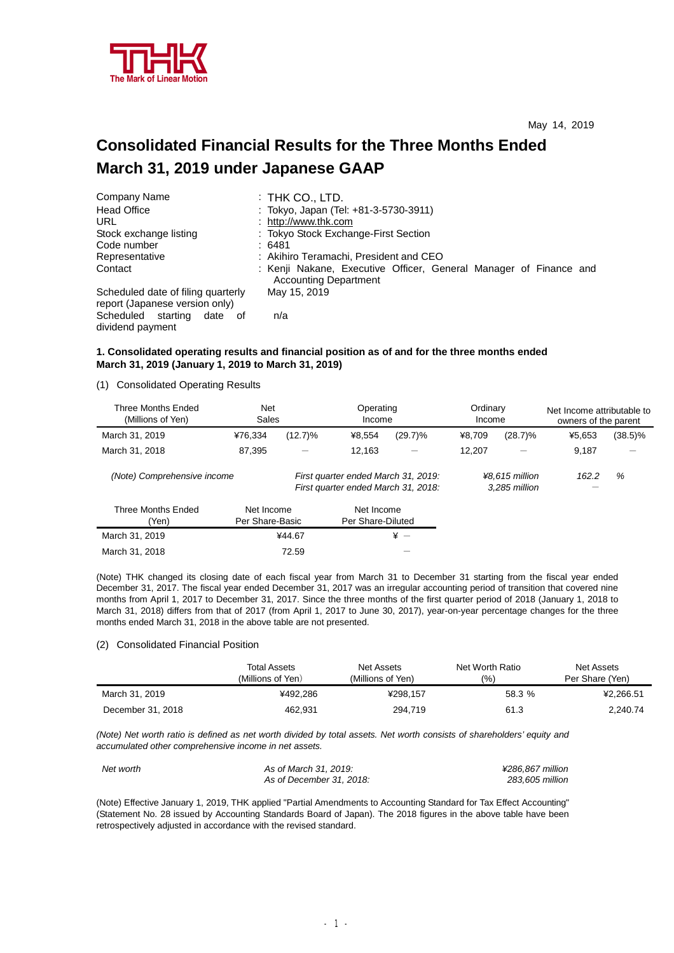

# **Consolidated Financial Results for the Three Months Ended March 31, 2019 under Japanese GAAP**

| Company Name                                                         | $:$ THK CO., LTD.                                                                                 |
|----------------------------------------------------------------------|---------------------------------------------------------------------------------------------------|
| <b>Head Office</b>                                                   | : Tokyo, Japan (Tel: +81-3-5730-3911)                                                             |
| URL.                                                                 | : http://www.thk.com                                                                              |
| Stock exchange listing                                               | : Tokyo Stock Exchange-First Section                                                              |
| Code number                                                          | :6481                                                                                             |
| Representative                                                       | : Akihiro Teramachi, President and CEO                                                            |
| Contact                                                              | : Kenji Nakane, Executive Officer, General Manager of Finance and<br><b>Accounting Department</b> |
| Scheduled date of filing quarterly<br>report (Japanese version only) | May 15, 2019                                                                                      |
| Scheduled starting date of<br>dividend payment                       | n/a                                                                                               |

## **1. Consolidated operating results and financial position as of and for the three months ended March 31, 2019 (January 1, 2019 to March 31, 2019)**

(1) Consolidated Operating Results

| Three Months Ended<br>(Millions of Yen) | <b>Net</b><br>Sales           |                                 | Operating<br>Income                                                        |            | Ordinary<br>Income |                                 | Net Income attributable to<br>owners of the parent |            |
|-----------------------------------------|-------------------------------|---------------------------------|----------------------------------------------------------------------------|------------|--------------------|---------------------------------|----------------------------------------------------|------------|
| March 31, 2019                          | ¥76,334                       | $(12.7)\%$                      | ¥8.554                                                                     | $(29.7)\%$ | ¥8.709             | $(28.7)\%$                      | ¥5.653                                             | $(38.5)\%$ |
| March 31, 2018                          | 87,395                        |                                 | 12,163                                                                     | —          | 12.207             |                                 | 9,187                                              |            |
| (Note) Comprehensive income             |                               |                                 | First quarter ended March 31, 2019:<br>First quarter ended March 31, 2018: |            |                    | ¥8.615 million<br>3.285 million | 162.2                                              | %          |
| <b>Three Months Ended</b><br>(Yen)      | Net Income<br>Per Share-Basic | Net Income<br>Per Share-Diluted |                                                                            |            |                    |                                 |                                                    |            |
| March 31, 2019                          |                               | ¥44.67                          |                                                                            | $* -$      |                    |                                 |                                                    |            |
| March 31, 2018                          |                               | 72.59                           |                                                                            |            |                    |                                 |                                                    |            |

(Note) THK changed its closing date of each fiscal year from March 31 to December 31 starting from the fiscal year ended December 31, 2017. The fiscal year ended December 31, 2017 was an irregular accounting period of transition that covered nine months from April 1, 2017 to December 31, 2017. Since the three months of the first quarter period of 2018 (January 1, 2018 to March 31, 2018) differs from that of 2017 (from April 1, 2017 to June 30, 2017), year-on-year percentage changes for the three months ended March 31, 2018 in the above table are not presented.

#### (2) Consolidated Financial Position

|                   | <b>Total Assets</b><br>(Millions of Yen) | Net Assets<br>(Millions of Yen) | Net Worth Ratio<br>(%) | Net Assets<br>Per Share (Yen) |
|-------------------|------------------------------------------|---------------------------------|------------------------|-------------------------------|
| March 31, 2019    | ¥492.286                                 | ¥298.157                        | 58.3 %                 | ¥2.266.51                     |
| December 31, 2018 | 462.931                                  | 294.719                         | 61.3                   | 2.240.74                      |

(Note) Net worth ratio is defined as net worth divided by total assets. Net worth consists of shareholders' equity and *accumulated other comprehensive income in net assets.* 

| Net worth | As of March 31, 2019:    | ¥286.867 million |
|-----------|--------------------------|------------------|
|           | As of December 31, 2018: | 283.605 million  |

(Note) Effective January 1, 2019, THK applied "Partial Amendments to Accounting Standard for Tax Effect Accounting" (Statement No. 28 issued by Accounting Standards Board of Japan). The 2018 figures in the above table have been retrospectively adjusted in accordance with the revised standard.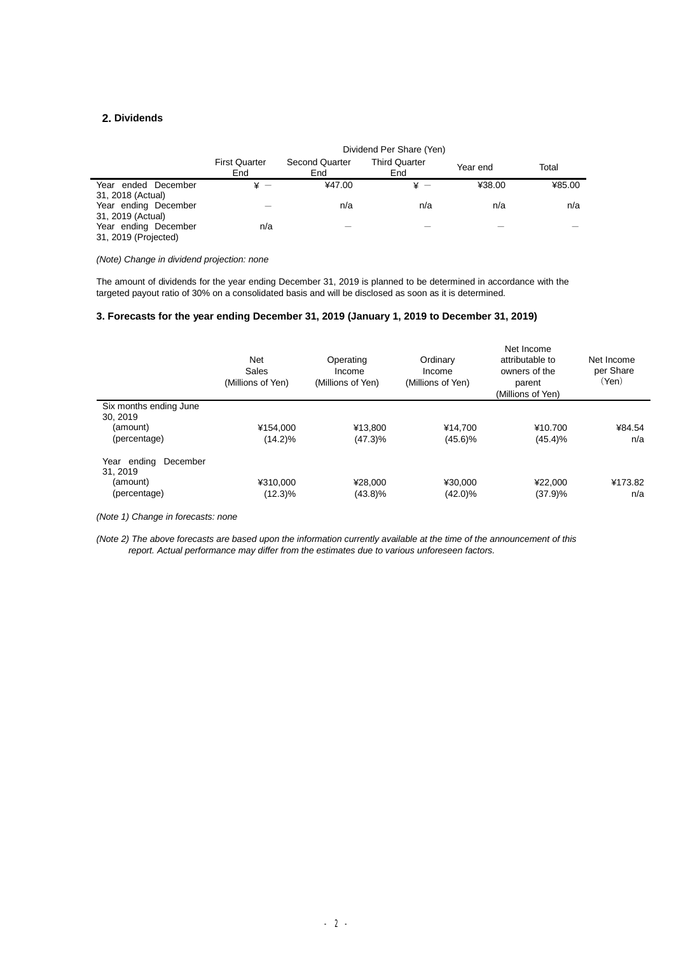# **2. Dividends**

l,

|                                              |                             |                              | Dividend Per Share (Yen)    |          |        |
|----------------------------------------------|-----------------------------|------------------------------|-----------------------------|----------|--------|
|                                              | <b>First Quarter</b><br>End | <b>Second Quarter</b><br>End | <b>Third Quarter</b><br>End | Year end | Total  |
| Year ended December<br>31, 2018 (Actual)     | ¥ —                         | ¥47.00                       | ¥ —                         | ¥38.00   | ¥85.00 |
| Year ending December<br>31, 2019 (Actual)    |                             | n/a                          | n/a                         | n/a      | n/a    |
| Year ending December<br>31, 2019 (Projected) | n/a                         |                              |                             |          |        |

### *(Note) Change in dividend projection: none*

The amount of dividends for the year ending December 31, 2019 is planned to be determined in accordance with the targeted payout ratio of 30% on a consolidated basis and will be disclosed as soon as it is determined.

## **3. Forecasts for the year ending December 31, 2019 (January 1, 2019 to December 31, 2019)**

|                                                    | <b>Net</b><br>Sales<br>(Millions of Yen) | Operating<br>Income<br>(Millions of Yen) | Ordinary<br>Income<br>(Millions of Yen) | Net Income<br>attributable to<br>owners of the<br>parent<br>(Millions of Yen) | Net Income<br>per Share<br>(Yen) |
|----------------------------------------------------|------------------------------------------|------------------------------------------|-----------------------------------------|-------------------------------------------------------------------------------|----------------------------------|
| Six months ending June<br>30.2019<br>(amount)      | ¥154.000                                 | ¥13.800                                  | ¥14.700                                 | ¥10.700                                                                       | ¥84.54                           |
| (percentage)<br>December<br>Year ending<br>31.2019 | $(14.2)\%$                               | (47.3)%                                  | $(45.6)\%$                              | $(45.4)\%$                                                                    | n/a                              |
| (amount)<br>(percentage)                           | ¥310.000<br>$(12.3)\%$                   | ¥28,000<br>(43.8)%                       | ¥30.000<br>$(42.0)\%$                   | ¥22,000<br>(37.9)%                                                            | ¥173.82<br>n/a                   |

*(Note 1) Change in forecasts: none* 

(Note 2) The above forecasts are based upon the information currently available at the time of the announcement of this *report. Actual performance may differ from the estimates due to various unforeseen factors.*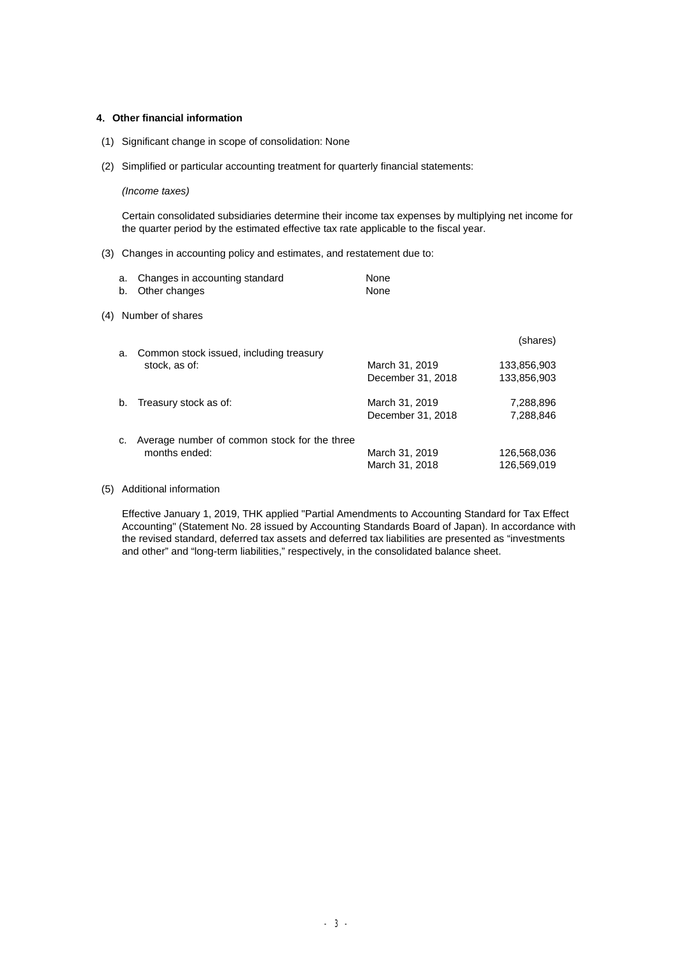### **4**.**Other financial information**

- (1) Significant change in scope of consolidation: None
- (2) Simplified or particular accounting treatment for quarterly financial statements:

### *(Income taxes)*

Certain consolidated subsidiaries determine their income tax expenses by multiplying net income for the quarter period by the estimated effective tax rate applicable to the fiscal year.

(3) Changes in accounting policy and estimates, and restatement due to:

|     | a.<br>b.      | Changes in accounting standard<br>Other changes               | None<br>None                        |                            |
|-----|---------------|---------------------------------------------------------------|-------------------------------------|----------------------------|
| (4) |               | Number of shares                                              |                                     |                            |
|     | a.            | Common stock issued, including treasury                       |                                     | (shares)                   |
|     | stock, as of: |                                                               | March 31, 2019<br>December 31, 2018 | 133,856,903<br>133.856.903 |
|     | b.            | Treasury stock as of:                                         | March 31, 2019<br>December 31, 2018 | 7,288,896<br>7,288,846     |
|     | c.            | Average number of common stock for the three<br>months ended: | March 31, 2019<br>March 31, 2018    | 126,568,036<br>126,569,019 |

(5) Additional information

Effective January 1, 2019, THK applied "Partial Amendments to Accounting Standard for Tax Effect Accounting" (Statement No. 28 issued by Accounting Standards Board of Japan). In accordance with the revised standard, deferred tax assets and deferred tax liabilities are presented as "investments and other" and "long-term liabilities," respectively, in the consolidated balance sheet.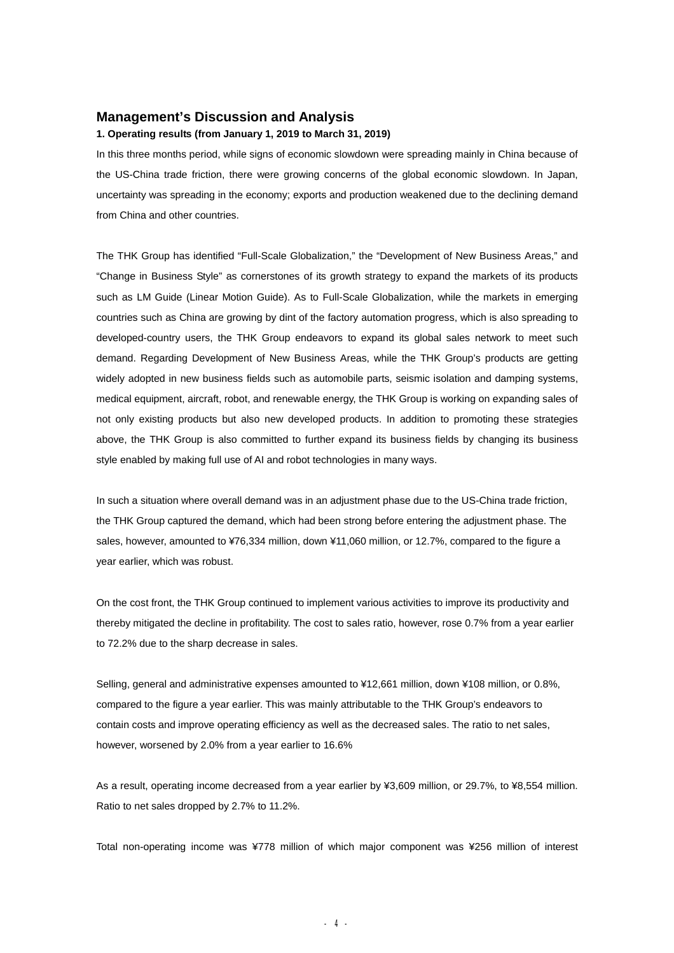# **Management's Discussion and Analysis**

## **1. Operating results (from January 1, 2019 to March 31, 2019)**

In this three months period, while signs of economic slowdown were spreading mainly in China because of the US-China trade friction, there were growing concerns of the global economic slowdown. In Japan, uncertainty was spreading in the economy; exports and production weakened due to the declining demand from China and other countries.

The THK Group has identified "Full-Scale Globalization," the "Development of New Business Areas," and "Change in Business Style" as cornerstones of its growth strategy to expand the markets of its products such as LM Guide (Linear Motion Guide). As to Full-Scale Globalization, while the markets in emerging countries such as China are growing by dint of the factory automation progress, which is also spreading to developed-country users, the THK Group endeavors to expand its global sales network to meet such demand. Regarding Development of New Business Areas, while the THK Group's products are getting widely adopted in new business fields such as automobile parts, seismic isolation and damping systems, medical equipment, aircraft, robot, and renewable energy, the THK Group is working on expanding sales of not only existing products but also new developed products. In addition to promoting these strategies above, the THK Group is also committed to further expand its business fields by changing its business style enabled by making full use of AI and robot technologies in many ways.

In such a situation where overall demand was in an adjustment phase due to the US-China trade friction, the THK Group captured the demand, which had been strong before entering the adjustment phase. The sales, however, amounted to ¥76,334 million, down ¥11,060 million, or 12.7%, compared to the figure a year earlier, which was robust.

On the cost front, the THK Group continued to implement various activities to improve its productivity and thereby mitigated the decline in profitability. The cost to sales ratio, however, rose 0.7% from a year earlier to 72.2% due to the sharp decrease in sales.

Selling, general and administrative expenses amounted to ¥12,661 million, down ¥108 million, or 0.8%, compared to the figure a year earlier. This was mainly attributable to the THK Group's endeavors to contain costs and improve operating efficiency as well as the decreased sales. The ratio to net sales, however, worsened by 2.0% from a year earlier to 16.6%

As a result, operating income decreased from a year earlier by ¥3,609 million, or 29.7%, to ¥8,554 million. Ratio to net sales dropped by 2.7% to 11.2%.

Total non-operating income was ¥778 million of which major component was ¥256 million of interest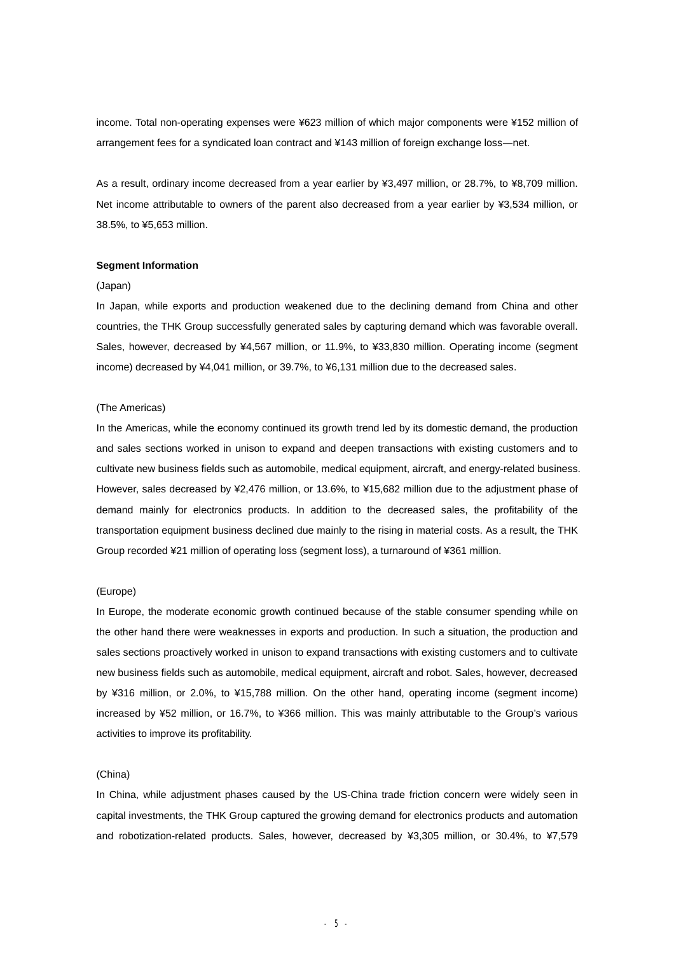income. Total non-operating expenses were ¥623 million of which major components were ¥152 million of arrangement fees for a syndicated loan contract and ¥143 million of foreign exchange loss―net.

As a result, ordinary income decreased from a year earlier by ¥3,497 million, or 28.7%, to ¥8,709 million. Net income attributable to owners of the parent also decreased from a year earlier by ¥3,534 million, or 38.5%, to ¥5,653 million.

#### **Segment Information**

#### (Japan)

In Japan, while exports and production weakened due to the declining demand from China and other countries, the THK Group successfully generated sales by capturing demand which was favorable overall. Sales, however, decreased by ¥4,567 million, or 11.9%, to ¥33,830 million. Operating income (segment income) decreased by ¥4,041 million, or 39.7%, to ¥6,131 million due to the decreased sales.

#### (The Americas)

In the Americas, while the economy continued its growth trend led by its domestic demand, the production and sales sections worked in unison to expand and deepen transactions with existing customers and to cultivate new business fields such as automobile, medical equipment, aircraft, and energy-related business. However, sales decreased by ¥2,476 million, or 13.6%, to ¥15,682 million due to the adjustment phase of demand mainly for electronics products. In addition to the decreased sales, the profitability of the transportation equipment business declined due mainly to the rising in material costs. As a result, the THK Group recorded ¥21 million of operating loss (segment loss), a turnaround of ¥361 million.

#### (Europe)

In Europe, the moderate economic growth continued because of the stable consumer spending while on the other hand there were weaknesses in exports and production. In such a situation, the production and sales sections proactively worked in unison to expand transactions with existing customers and to cultivate new business fields such as automobile, medical equipment, aircraft and robot. Sales, however, decreased by ¥316 million, or 2.0%, to ¥15,788 million. On the other hand, operating income (segment income) increased by ¥52 million, or 16.7%, to ¥366 million. This was mainly attributable to the Group's various activities to improve its profitability.

#### (China)

In China, while adjustment phases caused by the US-China trade friction concern were widely seen in capital investments, the THK Group captured the growing demand for electronics products and automation and robotization-related products. Sales, however, decreased by ¥3,305 million, or 30.4%, to ¥7,579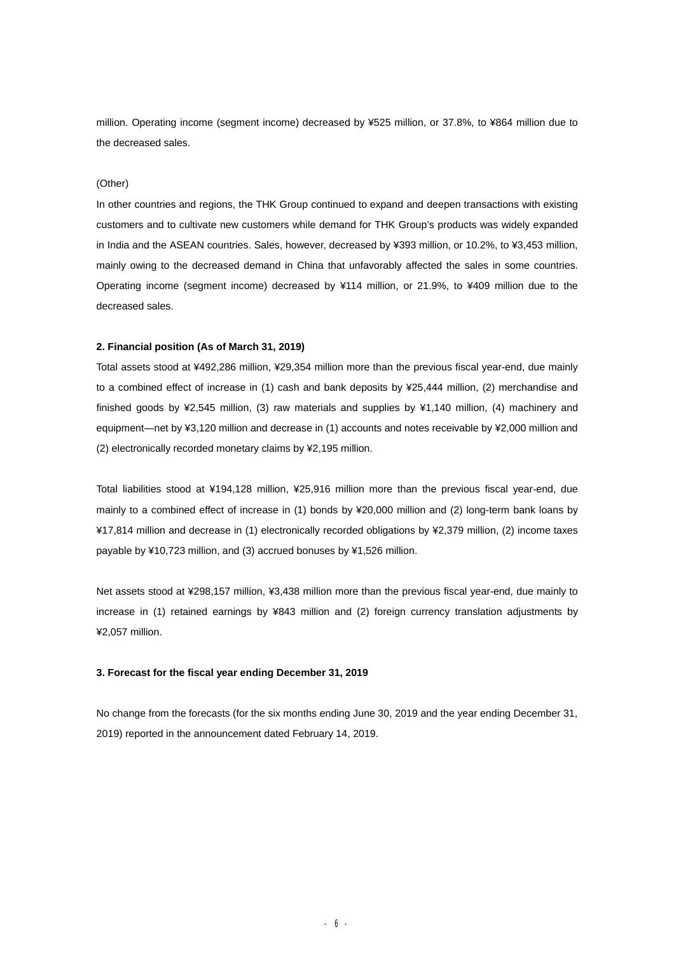million. Operating income (segment income) decreased by ¥525 million, or 37.8%, to ¥864 million due to the decreased sales.

#### (Other)

In other countries and regions, the THK Group continued to expand and deepen transactions with existing customers and to cultivate new customers while demand for THK Group's products was widely expanded in India and the ASEAN countries. Sales, however, decreased by ¥393 million, or 10.2%, to ¥3,453 million, mainly owing to the decreased demand in China that unfavorably affected the sales in some countries. Operating income (segment income) decreased by ¥114 million, or 21.9%, to ¥409 million due to the decreased sales.

#### **2. Financial position (As of March 31, 2019)**

Total assets stood at ¥492,286 million, ¥29,354 million more than the previous fiscal year-end, due mainly to a combined effect of increase in (1) cash and bank deposits by ¥25,444 million, (2) merchandise and finished goods by ¥2,545 million, (3) raw materials and supplies by ¥1,140 million, (4) machinery and equipment―net by ¥3,120 million and decrease in (1) accounts and notes receivable by ¥2,000 million and (2) electronically recorded monetary claims by ¥2,195 million.

Total liabilities stood at ¥194,128 million, ¥25,916 million more than the previous fiscal year-end, due mainly to a combined effect of increase in (1) bonds by ¥20,000 million and (2) long-term bank loans by ¥17,814 million and decrease in (1) electronically recorded obligations by ¥2,379 million, (2) income taxes payable by ¥10,723 million, and (3) accrued bonuses by ¥1,526 million.

Net assets stood at ¥298,157 million, ¥3,438 million more than the previous fiscal year-end, due mainly to increase in (1) retained earnings by ¥843 million and (2) foreign currency translation adjustments by ¥2,057 million.

#### **3. Forecast for the fiscal year ending December 31, 2019**

No change from the forecasts (for the six months ending June 30, 2019 and the year ending December 31, 2019) reported in the announcement dated February 14, 2019.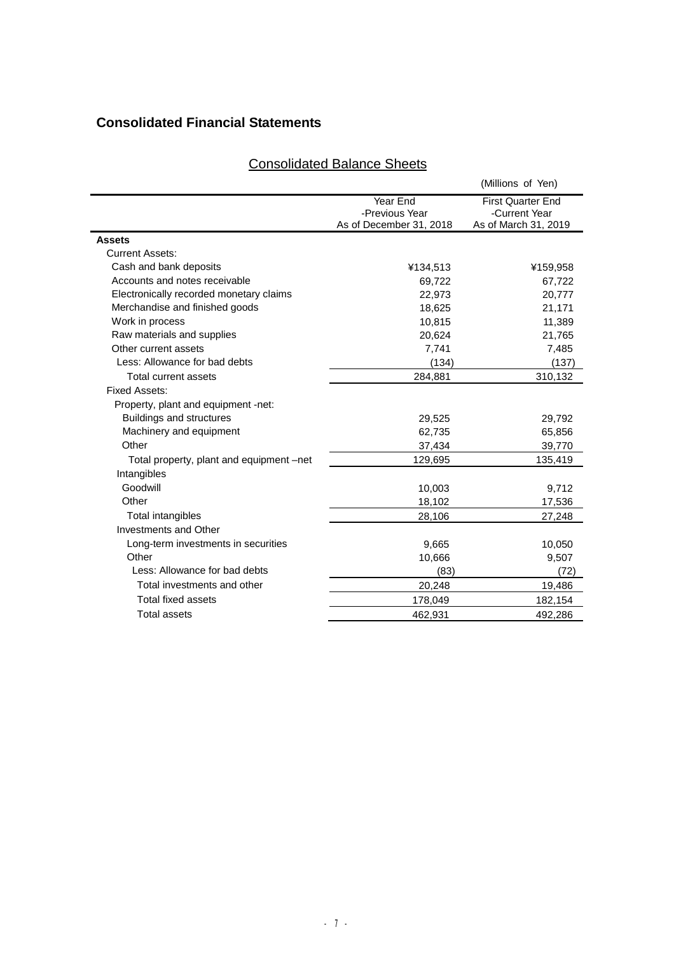# **Consolidated Financial Statements**

| <b>Consolidated Balance Sheets</b> |
|------------------------------------|
|------------------------------------|

|                                          |                            | (Millions of Yen)                         |
|------------------------------------------|----------------------------|-------------------------------------------|
|                                          | Year End<br>-Previous Year | <b>First Quarter End</b><br>-Current Year |
|                                          | As of December 31, 2018    | As of March 31, 2019                      |
| Assets                                   |                            |                                           |
| <b>Current Assets:</b>                   |                            |                                           |
| Cash and bank deposits                   | ¥134,513                   | ¥159,958                                  |
| Accounts and notes receivable            | 69,722                     | 67,722                                    |
| Electronically recorded monetary claims  | 22,973                     | 20,777                                    |
| Merchandise and finished goods           | 18,625                     | 21,171                                    |
| Work in process                          | 10,815                     | 11,389                                    |
| Raw materials and supplies               | 20,624                     | 21,765                                    |
| Other current assets                     | 7,741                      | 7,485                                     |
| Less: Allowance for bad debts            | (134)                      | (137)                                     |
| Total current assets                     | 284,881                    | 310,132                                   |
| Fixed Assets:                            |                            |                                           |
| Property, plant and equipment -net:      |                            |                                           |
| Buildings and structures                 | 29,525                     | 29,792                                    |
| Machinery and equipment                  | 62,735                     | 65,856                                    |
| Other                                    | 37,434                     | 39,770                                    |
| Total property, plant and equipment -net | 129,695                    | 135,419                                   |
| Intangibles                              |                            |                                           |
| Goodwill                                 | 10,003                     | 9,712                                     |
| Other                                    | 18,102                     | 17,536                                    |
| Total intangibles                        | 28,106                     | 27,248                                    |
| Investments and Other                    |                            |                                           |
| Long-term investments in securities      | 9,665                      | 10,050                                    |
| Other                                    | 10,666                     | 9,507                                     |
| Less: Allowance for bad debts            | (83)                       | (72)                                      |
| Total investments and other              | 20,248                     | 19,486                                    |
| <b>Total fixed assets</b>                | 178,049                    | 182,154                                   |
| <b>Total assets</b>                      | 462,931                    | 492,286                                   |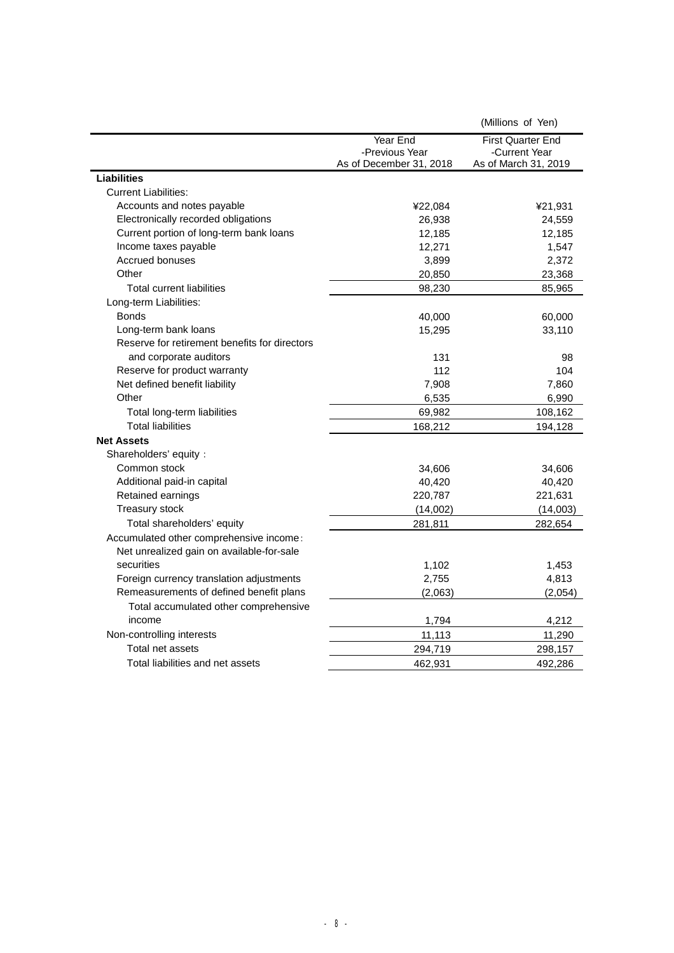| Year End<br><b>First Quarter End</b><br>-Previous Year<br>-Current Year<br>As of December 31, 2018<br>As of March 31, 2019<br><b>Liabilities</b><br><b>Current Liabilities:</b><br>Accounts and notes payable<br>¥22,084<br>¥21,931<br>Electronically recorded obligations<br>26,938<br>24,559<br>Current portion of long-term bank loans<br>12,185<br>12,185<br>Income taxes payable<br>12,271<br>1,547<br>Accrued bonuses<br>3,899<br>2,372<br>Other<br>20,850<br>23,368<br><b>Total current liabilities</b><br>98,230<br>85,965<br>Long-term Liabilities:<br><b>Bonds</b><br>40,000<br>60,000<br>Long-term bank loans<br>15,295<br>33,110<br>Reserve for retirement benefits for directors<br>and corporate auditors<br>131<br>98 |                              |     | (Millions of Yen) |
|--------------------------------------------------------------------------------------------------------------------------------------------------------------------------------------------------------------------------------------------------------------------------------------------------------------------------------------------------------------------------------------------------------------------------------------------------------------------------------------------------------------------------------------------------------------------------------------------------------------------------------------------------------------------------------------------------------------------------------------|------------------------------|-----|-------------------|
|                                                                                                                                                                                                                                                                                                                                                                                                                                                                                                                                                                                                                                                                                                                                      |                              |     |                   |
|                                                                                                                                                                                                                                                                                                                                                                                                                                                                                                                                                                                                                                                                                                                                      |                              |     |                   |
|                                                                                                                                                                                                                                                                                                                                                                                                                                                                                                                                                                                                                                                                                                                                      |                              |     |                   |
|                                                                                                                                                                                                                                                                                                                                                                                                                                                                                                                                                                                                                                                                                                                                      |                              |     |                   |
|                                                                                                                                                                                                                                                                                                                                                                                                                                                                                                                                                                                                                                                                                                                                      |                              |     |                   |
|                                                                                                                                                                                                                                                                                                                                                                                                                                                                                                                                                                                                                                                                                                                                      |                              |     |                   |
|                                                                                                                                                                                                                                                                                                                                                                                                                                                                                                                                                                                                                                                                                                                                      |                              |     |                   |
|                                                                                                                                                                                                                                                                                                                                                                                                                                                                                                                                                                                                                                                                                                                                      |                              |     |                   |
|                                                                                                                                                                                                                                                                                                                                                                                                                                                                                                                                                                                                                                                                                                                                      |                              |     |                   |
|                                                                                                                                                                                                                                                                                                                                                                                                                                                                                                                                                                                                                                                                                                                                      |                              |     |                   |
|                                                                                                                                                                                                                                                                                                                                                                                                                                                                                                                                                                                                                                                                                                                                      |                              |     |                   |
|                                                                                                                                                                                                                                                                                                                                                                                                                                                                                                                                                                                                                                                                                                                                      |                              |     |                   |
|                                                                                                                                                                                                                                                                                                                                                                                                                                                                                                                                                                                                                                                                                                                                      |                              |     |                   |
|                                                                                                                                                                                                                                                                                                                                                                                                                                                                                                                                                                                                                                                                                                                                      |                              |     |                   |
|                                                                                                                                                                                                                                                                                                                                                                                                                                                                                                                                                                                                                                                                                                                                      |                              |     |                   |
|                                                                                                                                                                                                                                                                                                                                                                                                                                                                                                                                                                                                                                                                                                                                      |                              |     |                   |
|                                                                                                                                                                                                                                                                                                                                                                                                                                                                                                                                                                                                                                                                                                                                      |                              |     |                   |
|                                                                                                                                                                                                                                                                                                                                                                                                                                                                                                                                                                                                                                                                                                                                      | Reserve for product warranty | 112 | 104               |
| Net defined benefit liability<br>7,860<br>7,908                                                                                                                                                                                                                                                                                                                                                                                                                                                                                                                                                                                                                                                                                      |                              |     |                   |
| Other<br>6,535<br>6,990                                                                                                                                                                                                                                                                                                                                                                                                                                                                                                                                                                                                                                                                                                              |                              |     |                   |
| Total long-term liabilities<br>69,982<br>108,162                                                                                                                                                                                                                                                                                                                                                                                                                                                                                                                                                                                                                                                                                     |                              |     |                   |
| <b>Total liabilities</b><br>168,212<br>194,128                                                                                                                                                                                                                                                                                                                                                                                                                                                                                                                                                                                                                                                                                       |                              |     |                   |
| <b>Net Assets</b>                                                                                                                                                                                                                                                                                                                                                                                                                                                                                                                                                                                                                                                                                                                    |                              |     |                   |
| Shareholders' equity:                                                                                                                                                                                                                                                                                                                                                                                                                                                                                                                                                                                                                                                                                                                |                              |     |                   |
| Common stock<br>34,606<br>34,606                                                                                                                                                                                                                                                                                                                                                                                                                                                                                                                                                                                                                                                                                                     |                              |     |                   |
| Additional paid-in capital<br>40,420<br>40,420                                                                                                                                                                                                                                                                                                                                                                                                                                                                                                                                                                                                                                                                                       |                              |     |                   |
| Retained earnings<br>220,787<br>221,631                                                                                                                                                                                                                                                                                                                                                                                                                                                                                                                                                                                                                                                                                              |                              |     |                   |
| Treasury stock<br>(14,002)<br>(14,003)                                                                                                                                                                                                                                                                                                                                                                                                                                                                                                                                                                                                                                                                                               |                              |     |                   |
| Total shareholders' equity<br>281,811<br>282,654                                                                                                                                                                                                                                                                                                                                                                                                                                                                                                                                                                                                                                                                                     |                              |     |                   |
| Accumulated other comprehensive income:                                                                                                                                                                                                                                                                                                                                                                                                                                                                                                                                                                                                                                                                                              |                              |     |                   |
| Net unrealized gain on available-for-sale                                                                                                                                                                                                                                                                                                                                                                                                                                                                                                                                                                                                                                                                                            |                              |     |                   |
| securities<br>1,102<br>1,453                                                                                                                                                                                                                                                                                                                                                                                                                                                                                                                                                                                                                                                                                                         |                              |     |                   |
| Foreign currency translation adjustments<br>2,755<br>4,813                                                                                                                                                                                                                                                                                                                                                                                                                                                                                                                                                                                                                                                                           |                              |     |                   |
| Remeasurements of defined benefit plans<br>(2,063)<br>(2,054)                                                                                                                                                                                                                                                                                                                                                                                                                                                                                                                                                                                                                                                                        |                              |     |                   |
| Total accumulated other comprehensive                                                                                                                                                                                                                                                                                                                                                                                                                                                                                                                                                                                                                                                                                                |                              |     |                   |
| income<br>1,794<br>4,212                                                                                                                                                                                                                                                                                                                                                                                                                                                                                                                                                                                                                                                                                                             |                              |     |                   |
| Non-controlling interests<br>11,113<br>11,290                                                                                                                                                                                                                                                                                                                                                                                                                                                                                                                                                                                                                                                                                        |                              |     |                   |
| Total net assets<br>294,719<br>298,157                                                                                                                                                                                                                                                                                                                                                                                                                                                                                                                                                                                                                                                                                               |                              |     |                   |
| Total liabilities and net assets<br>462,931<br>492,286                                                                                                                                                                                                                                                                                                                                                                                                                                                                                                                                                                                                                                                                               |                              |     |                   |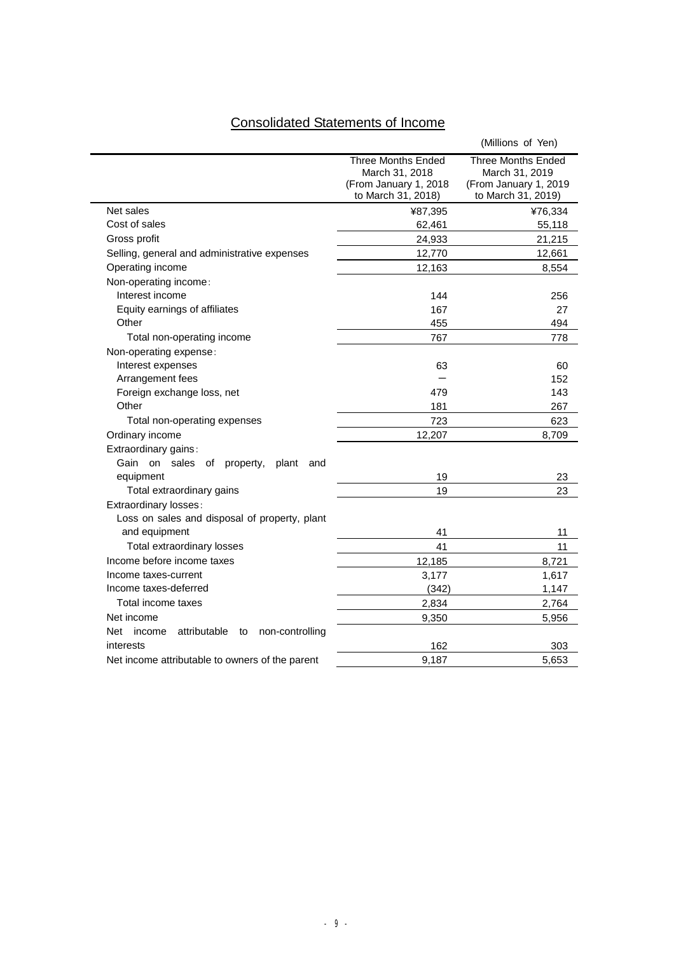# Consolidated Statements of Income

|                                                     |                                                                                     | (Millions of Yen)                                                                          |
|-----------------------------------------------------|-------------------------------------------------------------------------------------|--------------------------------------------------------------------------------------------|
|                                                     | Three Months Ended<br>March 31, 2018<br>(From January 1, 2018<br>to March 31, 2018) | <b>Three Months Ended</b><br>March 31, 2019<br>(From January 1, 2019<br>to March 31, 2019) |
| Net sales                                           | ¥87,395                                                                             | ¥76,334                                                                                    |
| Cost of sales                                       | 62,461                                                                              | 55,118                                                                                     |
| Gross profit                                        | 24,933                                                                              | 21,215                                                                                     |
| Selling, general and administrative expenses        | 12,770                                                                              | 12,661                                                                                     |
| Operating income                                    | 12,163                                                                              | 8,554                                                                                      |
| Non-operating income:                               |                                                                                     |                                                                                            |
| Interest income                                     | 144                                                                                 | 256                                                                                        |
| Equity earnings of affiliates                       | 167                                                                                 | 27                                                                                         |
| Other                                               | 455                                                                                 | 494                                                                                        |
| Total non-operating income                          | 767                                                                                 | 778                                                                                        |
| Non-operating expense:                              |                                                                                     |                                                                                            |
| Interest expenses                                   | 63                                                                                  | 60                                                                                         |
| Arrangement fees                                    |                                                                                     | 152                                                                                        |
| Foreign exchange loss, net                          | 479                                                                                 | 143                                                                                        |
| Other                                               | 181                                                                                 | 267                                                                                        |
| Total non-operating expenses                        | 723                                                                                 | 623                                                                                        |
| Ordinary income                                     | 12,207                                                                              | 8,709                                                                                      |
| Extraordinary gains:                                |                                                                                     |                                                                                            |
| Gain on sales<br>of<br>property,<br>plant<br>and    |                                                                                     |                                                                                            |
| equipment                                           | 19                                                                                  | 23                                                                                         |
| Total extraordinary gains                           | 19                                                                                  | 23                                                                                         |
| Extraordinary losses:                               |                                                                                     |                                                                                            |
| Loss on sales and disposal of property, plant       |                                                                                     |                                                                                            |
| and equipment                                       | 41                                                                                  | 11                                                                                         |
| Total extraordinary losses                          | 41                                                                                  | 11                                                                                         |
| Income before income taxes                          | 12,185                                                                              | 8,721                                                                                      |
| Income taxes-current                                | 3,177                                                                               | 1,617                                                                                      |
| Income taxes-deferred                               | (342)                                                                               | 1,147                                                                                      |
| Total income taxes                                  | 2,834                                                                               | 2,764                                                                                      |
| Net income                                          | 9,350                                                                               | 5,956                                                                                      |
| attributable<br>Net income<br>non-controlling<br>to |                                                                                     |                                                                                            |
| interests                                           | 162                                                                                 | 303                                                                                        |
| Net income attributable to owners of the parent     | 9,187                                                                               | 5,653                                                                                      |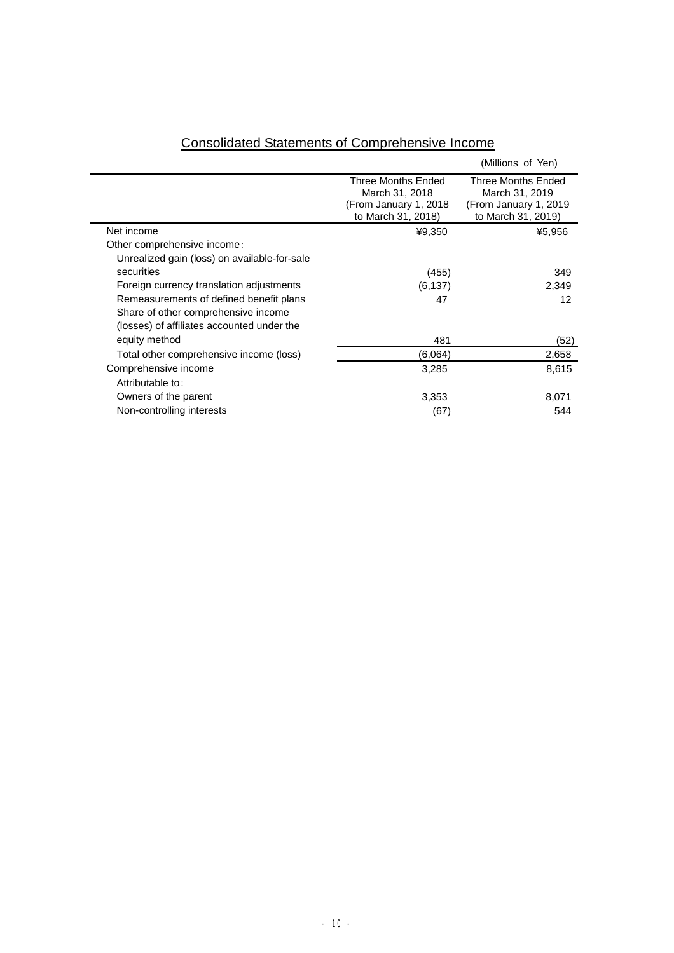|                                              |                                                                                      | (Millions of Yen)                                                                   |
|----------------------------------------------|--------------------------------------------------------------------------------------|-------------------------------------------------------------------------------------|
|                                              | Three Months Ended<br>March 31, 2018<br>(From January 1, 2018)<br>to March 31, 2018) | Three Months Ended<br>March 31, 2019<br>(From January 1, 2019<br>to March 31, 2019) |
| Net income                                   | ¥9,350                                                                               | ¥5,956                                                                              |
| Other comprehensive income:                  |                                                                                      |                                                                                     |
| Unrealized gain (loss) on available-for-sale |                                                                                      |                                                                                     |
| securities                                   | (455)                                                                                | 349                                                                                 |
| Foreign currency translation adjustments     | (6, 137)                                                                             | 2,349                                                                               |
| Remeasurements of defined benefit plans      | 47                                                                                   | 12                                                                                  |
| Share of other comprehensive income          |                                                                                      |                                                                                     |
| (losses) of affiliates accounted under the   |                                                                                      |                                                                                     |
| equity method                                | 481                                                                                  | (52)                                                                                |
| Total other comprehensive income (loss)      | (6.064)                                                                              | 2,658                                                                               |
| Comprehensive income                         | 3,285                                                                                | 8,615                                                                               |
| Attributable to:                             |                                                                                      |                                                                                     |
| Owners of the parent                         | 3,353                                                                                | 8,071                                                                               |
| Non-controlling interests                    | (67)                                                                                 | 544                                                                                 |

# Consolidated Statements of Comprehensive Income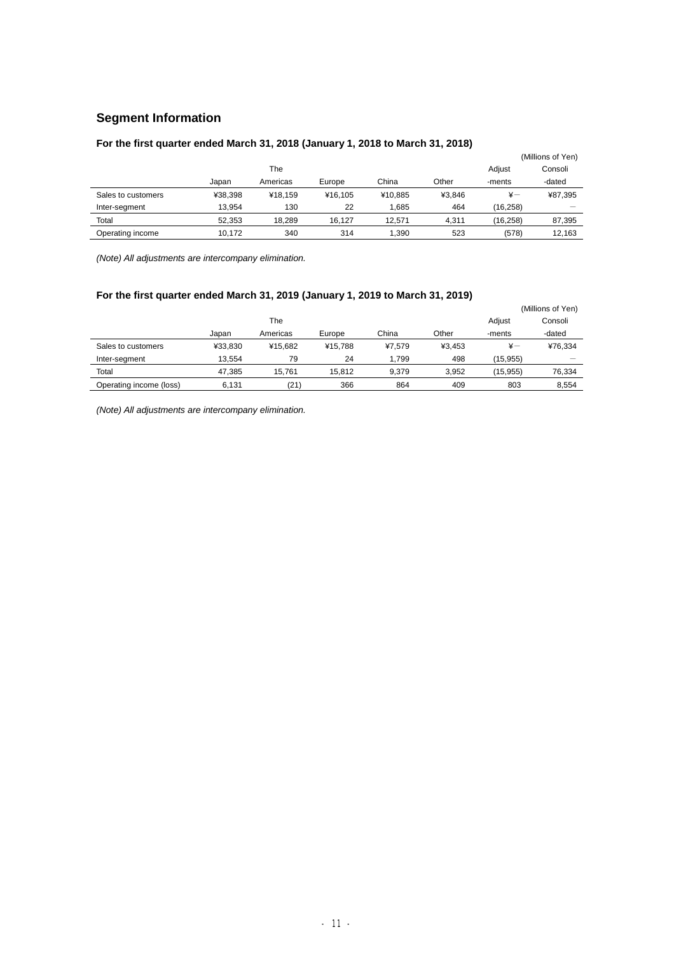# **Segment Information**

# **For the first quarter ended March 31, 2018 (January 1, 2018 to March 31, 2018)**

| - 7                |         |                   |         |         |        |               |         |  |  |  |  |  |
|--------------------|---------|-------------------|---------|---------|--------|---------------|---------|--|--|--|--|--|
|                    |         | (Millions of Yen) |         |         |        |               |         |  |  |  |  |  |
|                    |         | Adiust            | Consoli |         |        |               |         |  |  |  |  |  |
|                    | Japan   | Americas          | Europe  | China   | Other  | -ments        | -dated  |  |  |  |  |  |
| Sales to customers | ¥38.398 | ¥18.159           | ¥16.105 | ¥10.885 | ¥3.846 | $\frac{1}{2}$ | ¥87,395 |  |  |  |  |  |
| Inter-segment      | 13.954  | 130               | 22      | 1,685   | 464    | (16, 258)     |         |  |  |  |  |  |
| Total              | 52.353  | 18.289            | 16.127  | 12.571  | 4.311  | (16, 258)     | 87,395  |  |  |  |  |  |
| Operating income   | 10.172  | 340               | 314     | 1.390   | 523    | (578)         | 12.163  |  |  |  |  |  |

*(Note) All adjustments are intercompany elimination.* 

# **For the first quarter ended March 31, 2019 (January 1, 2019 to March 31, 2019)**

|                         |         |          | (Millions of Yen) |        |        |              |         |
|-------------------------|---------|----------|-------------------|--------|--------|--------------|---------|
|                         |         | The      |                   |        |        | Adjust       | Consoli |
|                         | Japan   | Americas | Europe            | China  | Other  | -ments       | -dated  |
| Sales to customers      | ¥33.830 | ¥15.682  | ¥15.788           | ¥7.579 | ¥3.453 | $\ddot{x}$ — | ¥76,334 |
| Inter-segment           | 13.554  | 79       | 24                | 1.799  | 498    | (15, 955)    |         |
| Total                   | 47.385  | 15.761   | 15.812            | 9.379  | 3.952  | (15.955)     | 76,334  |
| Operating income (loss) | 6.131   | (21)     | 366               | 864    | 409    | 803          | 8,554   |

*(Note) All adjustments are intercompany elimination.*